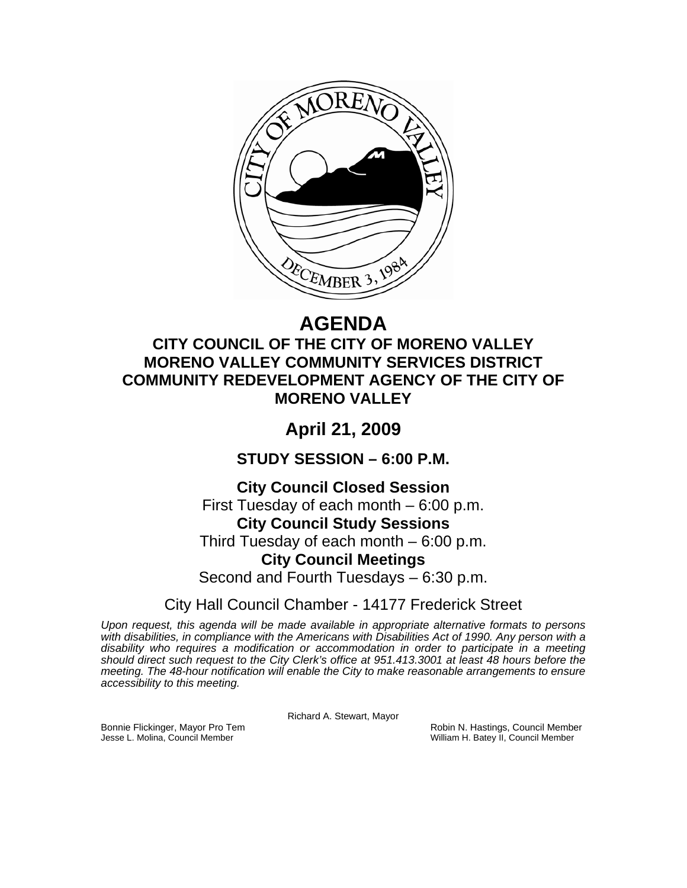

# **AGENDA**

## **CITY COUNCIL OF THE CITY OF MORENO VALLEY MORENO VALLEY COMMUNITY SERVICES DISTRICT COMMUNITY REDEVELOPMENT AGENCY OF THE CITY OF MORENO VALLEY**

# **April 21, 2009**

**STUDY SESSION – 6:00 P.M.** 

### **City Council Closed Session**

First Tuesday of each month – 6:00 p.m. **City Council Study Sessions**  Third Tuesday of each month – 6:00 p.m. **City Council Meetings**  Second and Fourth Tuesdays – 6:30 p.m.

City Hall Council Chamber - 14177 Frederick Street

*Upon request, this agenda will be made available in appropriate alternative formats to persons with disabilities, in compliance with the Americans with Disabilities Act of 1990. Any person with a disability who requires a modification or accommodation in order to participate in a meeting should direct such request to the City Clerk's office at 951.413.3001 at least 48 hours before the meeting. The 48-hour notification will enable the City to make reasonable arrangements to ensure accessibility to this meeting.* 

Richard A. Stewart, Mayor

Bonnie Flickinger, Mayor Pro Tem **Robin Access Council Member** Robin N. Hastings, Council Member<br>Jesse L. Molina, Council Member William H. Batey II, Council Member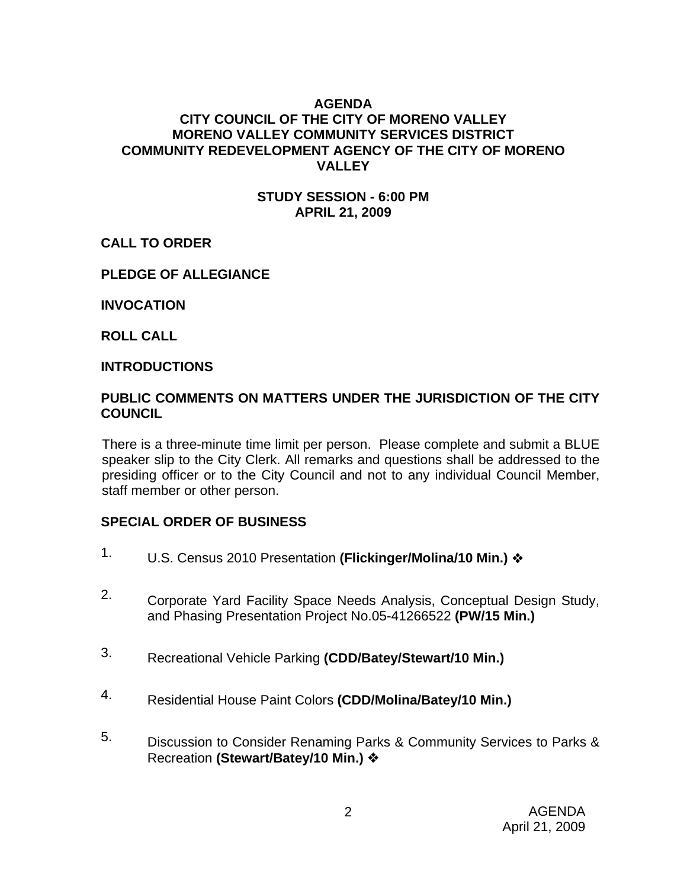#### **AGENDA**

#### **CITY COUNCIL OF THE CITY OF MORENO VALLEY MORENO VALLEY COMMUNITY SERVICES DISTRICT COMMUNITY REDEVELOPMENT AGENCY OF THE CITY OF MORENO VALLEY**

#### **STUDY SESSION - 6:00 PM APRIL 21, 2009**

#### **CALL TO ORDER**

#### **PLEDGE OF ALLEGIANCE**

#### **INVOCATION**

#### **ROLL CALL**

#### **INTRODUCTIONS**

#### **PUBLIC COMMENTS ON MATTERS UNDER THE JURISDICTION OF THE CITY COUNCIL**

There is a three-minute time limit per person. Please complete and submit a BLUE speaker slip to the City Clerk. All remarks and questions shall be addressed to the presiding officer or to the City Council and not to any individual Council Member, staff member or other person.

#### **SPECIAL ORDER OF BUSINESS**

- 1. U.S. Census 2010 Presentation **(Flickinger/Molina/10 Min.)**
- 2. Corporate Yard Facility Space Needs Analysis, Conceptual Design Study, and Phasing Presentation Project No.05-41266522 **(PW/15 Min.)**
- 3. Recreational Vehicle Parking **(CDD/Batey/Stewart/10 Min.)**
- 4. Residential House Paint Colors **(CDD/Molina/Batey/10 Min.)**
- 5. Discussion to Consider Renaming Parks & Community Services to Parks & Recreation **(Stewart/Batey/10 Min.)**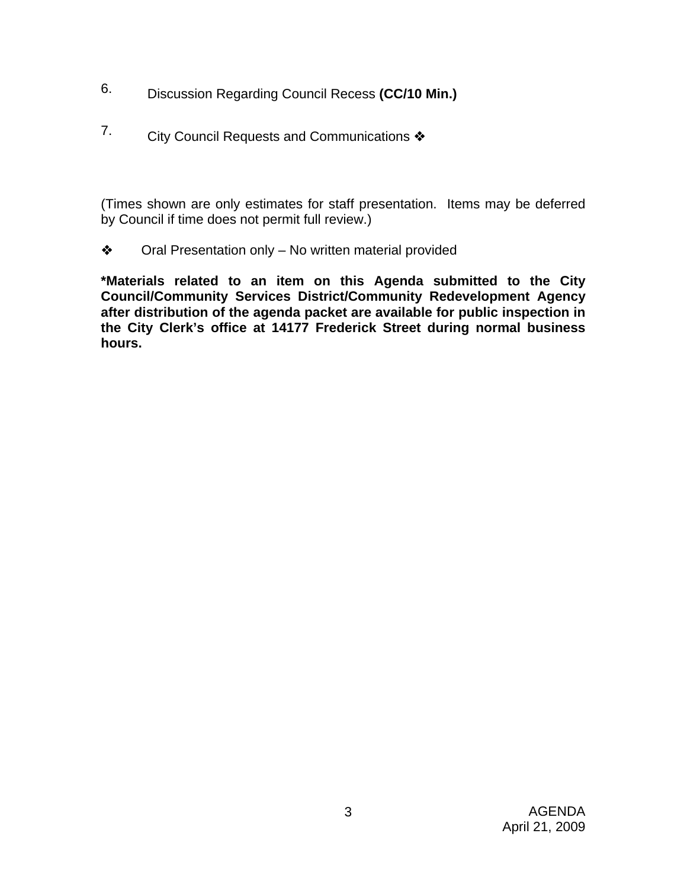- 6. Discussion Regarding Council Recess **(CC/10 Min.)**
- 7. City Council Requests and Communications  $\clubsuit$

(Times shown are only estimates for staff presentation. Items may be deferred by Council if time does not permit full review.)

 $\triangleleft$  Oral Presentation only – No written material provided

**\*Materials related to an item on this Agenda submitted to the City Council/Community Services District/Community Redevelopment Agency after distribution of the agenda packet are available for public inspection in the City Clerk's office at 14177 Frederick Street during normal business hours.**